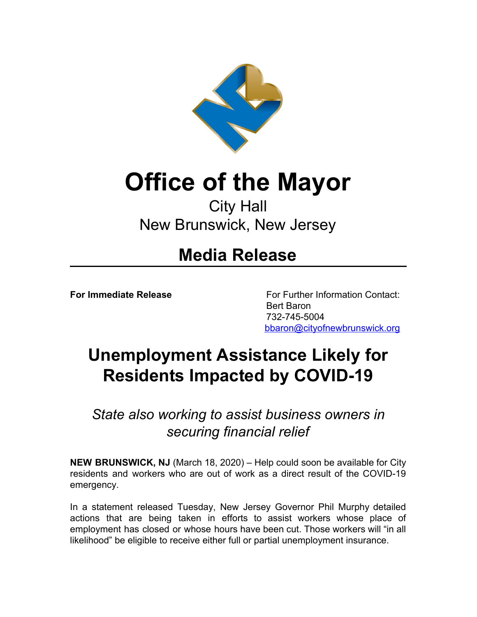

## **Office of the Mayor**

## City Hall New Brunswick, New Jersey

## **Media Release**

**For Immediate Release** For Further Information Contact: Bert Baron 732-745-5004 [bbaron@cityofnewbrunswick.org](mailto:bbaron@cityofnewbrunswick.org?subject=Press%20Release%20Inquiry)

## **Unemployment Assistance Likely for Residents Impacted by COVID-19**

*State also working to assist business owners in securing financial relief*

**NEW BRUNSWICK, NJ** (March 18, 2020) – Help could soon be available for City residents and workers who are out of work as a direct result of the COVID-19 emergency.

In a statement released Tuesday, New Jersey Governor Phil Murphy detailed actions that are being taken in efforts to assist workers whose place of employment has closed or whose hours have been cut. Those workers will "in all likelihood" be eligible to receive either full or partial unemployment insurance.